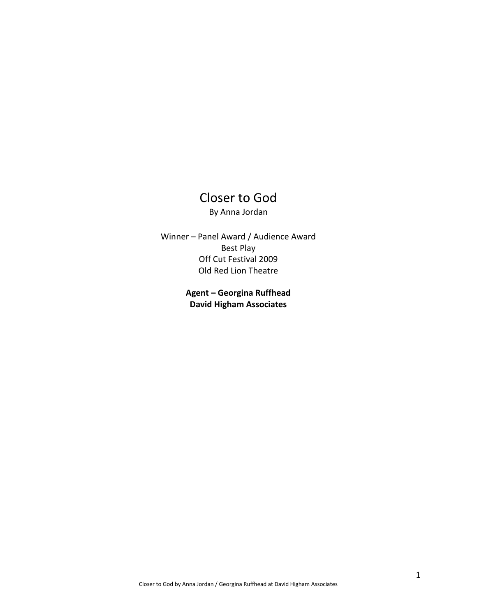## Closer to God

By Anna Jordan

Winner – Panel Award / Audience Award Best Play Off Cut Festival 2009 Old Red Lion Theatre

> **Agent – Georgina Ruffhead David Higham Associates**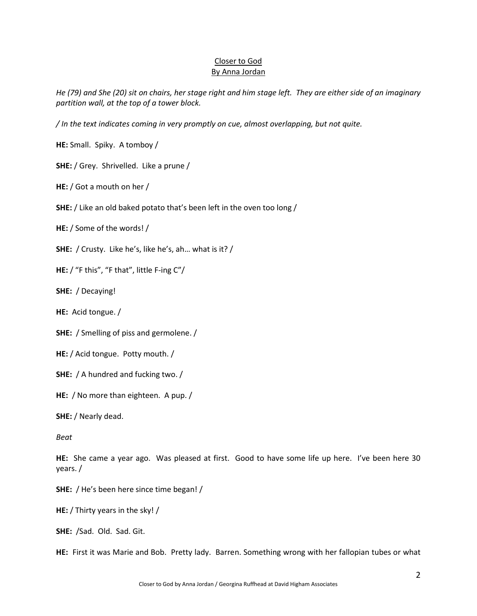## Closer to God By Anna Jordan

*He (79) and She (20) sit on chairs, her stage right and him stage left. They are either side of an imaginary partition wall, at the top of a tower block.* 

*/ In the text indicates coming in very promptly on cue, almost overlapping, but not quite.* 

**HE:** Small. Spiky. A tomboy /

**SHE:** / Grey. Shrivelled. Like a prune /

**HE:** / Got a mouth on her /

**SHE:** / Like an old baked potato that's been left in the oven too long /

**HE:** / Some of the words! /

**SHE:** / Crusty. Like he's, like he's, ah… what is it? /

**HE:** / "F this", "F that", little F-ing C"/

**SHE:** / Decaying!

**HE:** Acid tongue. /

**SHE:** / Smelling of piss and germolene. /

**HE:** / Acid tongue. Potty mouth. /

**SHE:** / A hundred and fucking two. /

**HE:** / No more than eighteen. A pup. /

**SHE:** / Nearly dead.

*Beat*

**HE:** She came a year ago. Was pleased at first. Good to have some life up here. I've been here 30 years. /

**SHE:** / He's been here since time began! /

**HE:** / Thirty years in the sky! /

**SHE:** /Sad. Old. Sad. Git.

**HE:** First it was Marie and Bob. Pretty lady. Barren. Something wrong with her fallopian tubes or what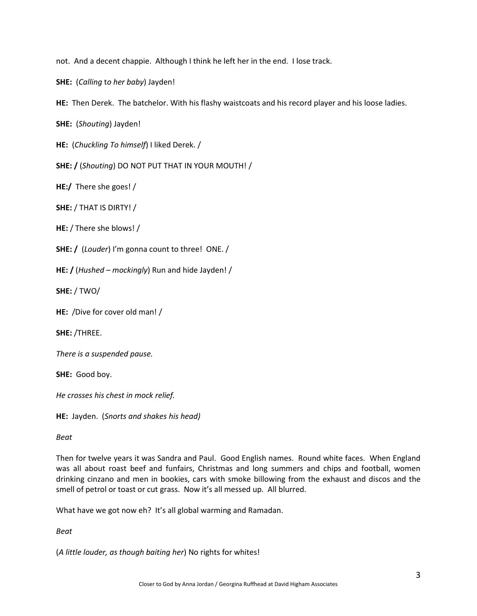not. And a decent chappie. Although I think he left her in the end. I lose track.

**SHE:** (*Calling* t*o her baby*) Jayden!

**HE:** Then Derek. The batchelor. With his flashy waistcoats and his record player and his loose ladies.

**SHE:** (*Shouting*) Jayden!

**HE:** (*Chuckling To himself*) I liked Derek. /

**SHE: /** (*Shouting*) DO NOT PUT THAT IN YOUR MOUTH! /

**HE:/** There she goes! /

**SHE:** / THAT IS DIRTY! /

**HE:** / There she blows! /

**SHE: /** (*Louder*) I'm gonna count to three! ONE. /

**HE: /** (*Hushed – mockingly*) Run and hide Jayden! /

**SHE:** / TWO/

**HE:** /Dive for cover old man! /

**SHE:** /THREE.

*There is a suspended pause.*

**SHE:** Good boy.

*He crosses his chest in mock relief.*

**HE:** Jayden. (*Snorts and shakes his head)*

*Beat*

Then for twelve years it was Sandra and Paul. Good English names. Round white faces. When England was all about roast beef and funfairs, Christmas and long summers and chips and football, women drinking cinzano and men in bookies, cars with smoke billowing from the exhaust and discos and the smell of petrol or toast or cut grass. Now it's all messed up. All blurred.

What have we got now eh? It's all global warming and Ramadan.

*Beat*

(*A little louder, as though baiting her*) No rights for whites!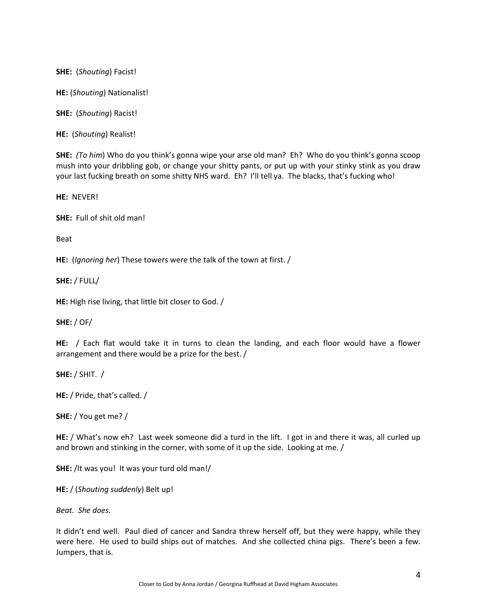**SHE:** (*Shouting*) Facist!

**HE:** (*Shouting*) Nationalist!

**SHE:** (*Shouting*) Racist!

**HE:** (*Shouting*) Realist!

**SHE:** *(To him*) Who do you think's gonna wipe your arse old man? Eh? Who do you think's gonna scoop mush into your dribbling gob, or change your shitty pants, or put up with your stinky stink as you draw your last fucking breath on some shitty NHS ward. Eh? I'll tell ya. The blacks, that's fucking who!

**HE:** NEVER!

**SHE:** Full of shit old man!

Beat

**HE:** (*Ignoring her*) These towers were the talk of the town at first. /

**SHE:** / FULL/

**HE:** High rise living, that little bit closer to God. /

**SHE:** / OF/

**HE:** / Each flat would take it in turns to clean the landing, and each floor would have a flower arrangement and there would be a prize for the best. /

**SHE:** / SHIT. /

**HE:** / Pride, that's called. /

**SHE:** / You get me? /

**HE:** / What's now eh? Last week someone did a turd in the lift. I got in and there it was, all curled up and brown and stinking in the corner, with some of it up the side. Looking at me. /

**SHE:** /It was you! It was your turd old man!/

**HE:** / (*Shouting suddenly*) Belt up!

*Beat. She does.*

It didn't end well. Paul died of cancer and Sandra threw herself off, but they were happy, while they were here. He used to build ships out of matches. And she collected china pigs. There's been a few. Jumpers, that is.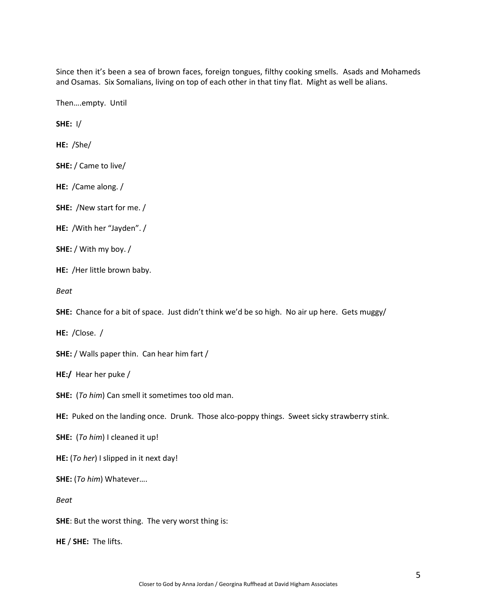Since then it's been a sea of brown faces, foreign tongues, filthy cooking smells. Asads and Mohameds and Osamas. Six Somalians, living on top of each other in that tiny flat. Might as well be alians.

Then….empty. Until

**SHE:** I/

**HE:** /She/

**SHE:** / Came to live/

**HE:** /Came along. /

**SHE:** /New start for me. /

**HE:** /With her "Jayden". /

**SHE:** / With my boy. /

**HE:** /Her little brown baby.

*Beat*

**SHE:** Chance for a bit of space. Just didn't think we'd be so high. No air up here. Gets muggy/

**HE:** /Close. /

**SHE:** / Walls paper thin. Can hear him fart /

**HE:/** Hear her puke /

**SHE:** (*To him*) Can smell it sometimes too old man.

**HE:** Puked on the landing once. Drunk. Those alco-poppy things. Sweet sicky strawberry stink.

**SHE:** (*To him*) I cleaned it up!

**HE:** (*To her*) I slipped in it next day!

**SHE:** (*To him*) Whatever….

*Beat*

**SHE**: But the worst thing. The very worst thing is:

**HE** / **SHE:** The lifts.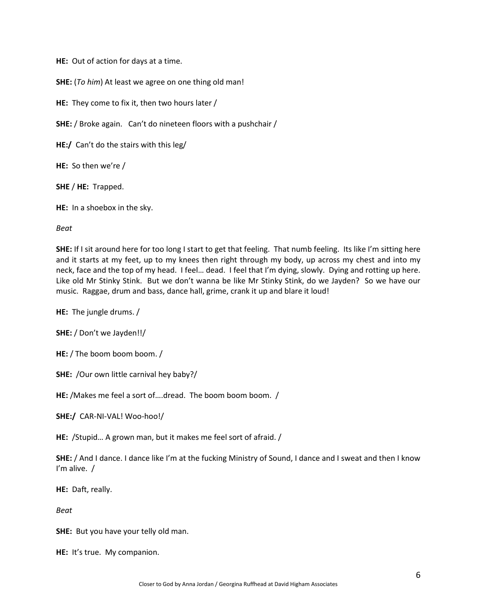**HE:** Out of action for days at a time.

**SHE:** (*To him*) At least we agree on one thing old man!

**HE:** They come to fix it, then two hours later /

**SHE:** / Broke again. Can't do nineteen floors with a pushchair /

**HE:/** Can't do the stairs with this leg/

**HE:** So then we're /

**SHE** / **HE:** Trapped.

**HE:** In a shoebox in the sky.

## *Beat*

**SHE:** If I sit around here for too long I start to get that feeling. That numb feeling. Its like I'm sitting here and it starts at my feet, up to my knees then right through my body, up across my chest and into my neck, face and the top of my head. I feel… dead. I feel that I'm dying, slowly. Dying and rotting up here. Like old Mr Stinky Stink. But we don't wanna be like Mr Stinky Stink, do we Jayden? So we have our music. Raggae, drum and bass, dance hall, grime, crank it up and blare it loud!

**HE:** The jungle drums. /

**SHE:** / Don't we Jayden!!/

**HE:** / The boom boom boom. /

**SHE:** /Our own little carnival hey baby?/

**HE:** /Makes me feel a sort of….dread. The boom boom boom. /

**SHE:/** CAR-NI-VAL! Woo-hoo!/

**HE:** /Stupid… A grown man, but it makes me feel sort of afraid. /

**SHE:** / And I dance. I dance like I'm at the fucking Ministry of Sound, I dance and I sweat and then I know I'm alive. /

**HE:** Daft, really.

*Beat*

**SHE:** But you have your telly old man.

**HE:** It's true. My companion.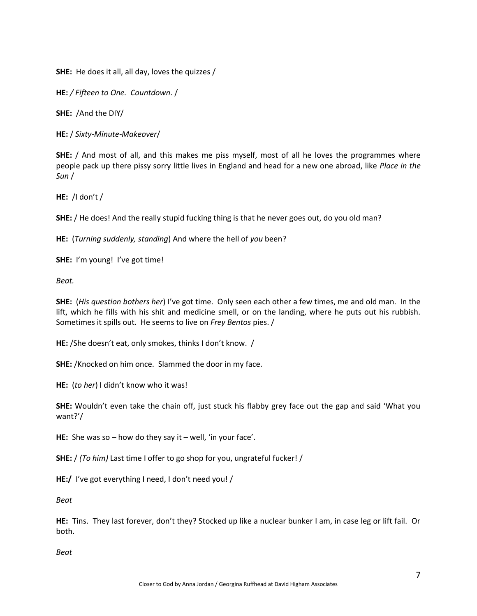**SHE:** He does it all, all day, loves the quizzes /

**HE:** */ Fifteen to One. Countdown*. /

**SHE:** /And the DIY/

**HE:** / *Sixty-Minute-Makeover*/

**SHE:** / And most of all, and this makes me piss myself, most of all he loves the programmes where people pack up there pissy sorry little lives in England and head for a new one abroad, like *Place in the Sun* /

**HE:** /I don't /

**SHE:** / He does! And the really stupid fucking thing is that he never goes out, do you old man?

**HE:** (*Turning suddenly, standing*) And where the hell of *you* been?

**SHE:** I'm young! I've got time!

*Beat.* 

**SHE:** (*His question bothers her*) I've got time. Only seen each other a few times, me and old man. In the lift, which he fills with his shit and medicine smell, or on the landing, where he puts out his rubbish. Sometimes it spills out. He seems to live on *Frey Bentos* pies. /

**HE:** /She doesn't eat, only smokes, thinks I don't know. /

**SHE:** /Knocked on him once. Slammed the door in my face.

**HE:** (*to her*) I didn't know who it was!

**SHE:** Wouldn't even take the chain off, just stuck his flabby grey face out the gap and said 'What you want?'/

**HE:** She was so – how do they say it – well, 'in your face'.

**SHE:** / *(To him)* Last time I offer to go shop for you, ungrateful fucker! /

**HE:/** I've got everything I need, I don't need you! /

*Beat*

**HE:** Tins. They last forever, don't they? Stocked up like a nuclear bunker I am, in case leg or lift fail. Or both.

*Beat*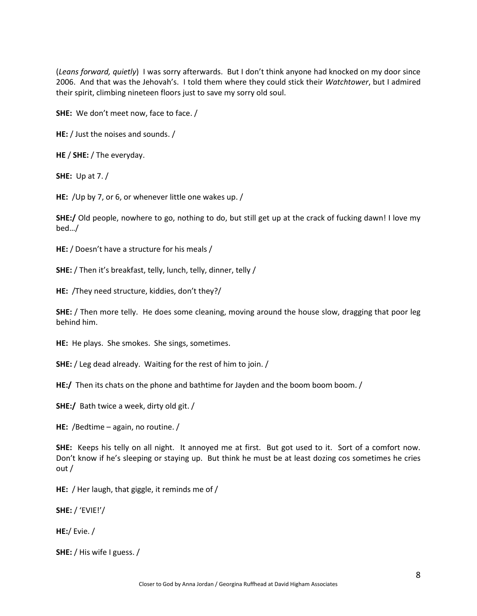(*Leans forward, quietly*) I was sorry afterwards. But I don't think anyone had knocked on my door since 2006. And that was the Jehovah's. I told them where they could stick their *Watchtower*, but I admired their spirit, climbing nineteen floors just to save my sorry old soul.

**SHE:** We don't meet now, face to face. /

**HE:** / Just the noises and sounds. /

**HE** / **SHE:** / The everyday.

**SHE:** Up at 7. /

**HE:** /Up by 7, or 6, or whenever little one wakes up. /

**SHE:/** Old people, nowhere to go, nothing to do, but still get up at the crack of fucking dawn! I love my bed…/

**HE:** / Doesn't have a structure for his meals /

**SHE:** / Then it's breakfast, telly, lunch, telly, dinner, telly /

**HE:** /They need structure, kiddies, don't they?/

**SHE:** / Then more telly. He does some cleaning, moving around the house slow, dragging that poor leg behind him.

**HE:** He plays. She smokes. She sings, sometimes.

**SHE:** / Leg dead already. Waiting for the rest of him to join. /

**HE:/** Then its chats on the phone and bathtime for Jayden and the boom boom boom. /

**SHE:/** Bath twice a week, dirty old git. /

**HE:** /Bedtime – again, no routine. /

**SHE:** Keeps his telly on all night. It annoyed me at first. But got used to it. Sort of a comfort now. Don't know if he's sleeping or staying up. But think he must be at least dozing cos sometimes he cries out /

**HE:** / Her laugh, that giggle, it reminds me of /

**SHE:** / 'EVIE!'/

**HE:**/ Evie. /

**SHE:** / His wife I guess. /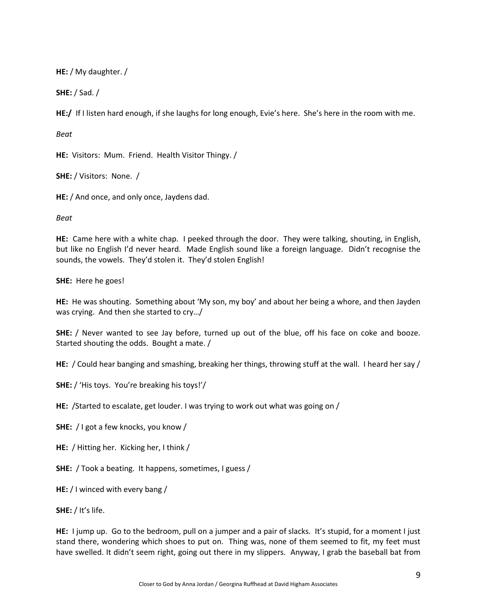**HE:** / My daughter. /

**SHE:** / Sad. /

**HE:/** If I listen hard enough, if she laughs for long enough, Evie's here. She's here in the room with me.

*Beat*

**HE:** Visitors: Mum. Friend. Health Visitor Thingy. /

**SHE:** / Visitors: None. /

**HE:** / And once, and only once, Jaydens dad.

*Beat*

**HE:** Came here with a white chap. I peeked through the door. They were talking, shouting, in English, but like no English I'd never heard. Made English sound like a foreign language. Didn't recognise the sounds, the vowels. They'd stolen it. They'd stolen English!

**SHE:** Here he goes!

**HE:** He was shouting. Something about 'My son, my boy' and about her being a whore, and then Jayden was crying. And then she started to cry…/

**SHE:** / Never wanted to see Jay before, turned up out of the blue, off his face on coke and booze. Started shouting the odds. Bought a mate. /

**HE:** / Could hear banging and smashing, breaking her things, throwing stuff at the wall. I heard her say /

**SHE:** / 'His toys. You're breaking his toys!'/

**HE:** /Started to escalate, get louder. I was trying to work out what was going on /

**SHE:** / I got a few knocks, you know /

**HE:** / Hitting her. Kicking her, I think /

**SHE:** / Took a beating. It happens, sometimes, I guess /

**HE:** / I winced with every bang /

**SHE:** / It's life.

**HE:** I jump up. Go to the bedroom, pull on a jumper and a pair of slacks. It's stupid, for a moment I just stand there, wondering which shoes to put on. Thing was, none of them seemed to fit, my feet must have swelled. It didn't seem right, going out there in my slippers. Anyway, I grab the baseball bat from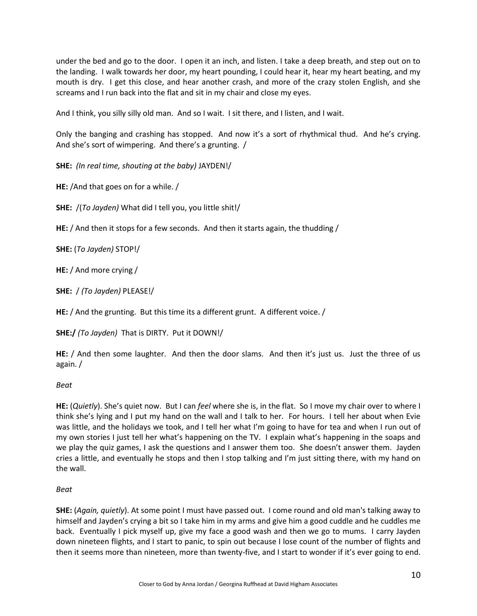under the bed and go to the door. I open it an inch, and listen. I take a deep breath, and step out on to the landing. I walk towards her door, my heart pounding, I could hear it, hear my heart beating, and my mouth is dry. I get this close, and hear another crash, and more of the crazy stolen English, and she screams and I run back into the flat and sit in my chair and close my eyes.

And I think, you silly silly old man. And so I wait. I sit there, and I listen, and I wait.

Only the banging and crashing has stopped. And now it's a sort of rhythmical thud. And he's crying. And she's sort of wimpering. And there's a grunting. /

**SHE:** *(In real time, shouting at the baby)* JAYDEN!/

**HE:** /And that goes on for a while. /

**SHE:** /(*To Jayden)* What did I tell you, you little shit!/

**HE:** / And then it stops for a few seconds. And then it starts again, the thudding /

**SHE:** (*To Jayden)* STOP!/

**HE:** / And more crying /

**SHE:** / *(To Jayden)* PLEASE!/

**HE:** / And the grunting. But this time its a different grunt. A different voice. /

**SHE:/** *(To Jayden)* That is DIRTY. Put it DOWN!/

**HE:** / And then some laughter. And then the door slams. And then it's just us. Just the three of us again. /

*Beat*

**HE:** (*Quietly*). She's quiet now. But I can *feel* where she is, in the flat. So I move my chair over to where I think she's lying and I put my hand on the wall and I talk to her. For hours. I tell her about when Evie was little, and the holidays we took, and I tell her what I'm going to have for tea and when I run out of my own stories I just tell her what's happening on the TV. I explain what's happening in the soaps and we play the quiz games, I ask the questions and I answer them too. She doesn't answer them. Jayden cries a little, and eventually he stops and then I stop talking and I'm just sitting there, with my hand on the wall.

## *Beat*

**SHE:** (*Again, quietly*). At some point I must have passed out. I come round and old man's talking away to himself and Jayden's crying a bit so I take him in my arms and give him a good cuddle and he cuddles me back. Eventually I pick myself up, give my face a good wash and then we go to mums. I carry Jayden down nineteen flights, and I start to panic, to spin out because I lose count of the number of flights and then it seems more than nineteen, more than twenty-five, and I start to wonder if it's ever going to end.